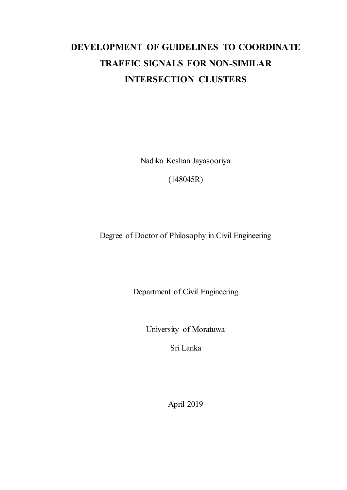# **DEVELOPMENT OF GUIDELINES TO COORDINATE TRAFFIC SIGNALS FOR NON-SIMILAR INTERSECTION CLUSTERS**

Nadika Keshan Jayasooriya

(148045R)

Degree of Doctor of Philosophy in Civil Engineering

Department of Civil Engineering

University of Moratuwa

Sri Lanka

April 2019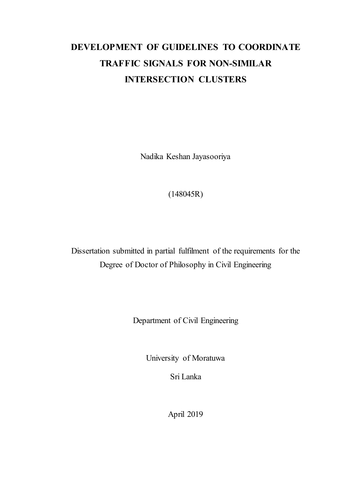# **DEVELOPMENT OF GUIDELINES TO COORDINATE TRAFFIC SIGNALS FOR NON-SIMILAR INTERSECTION CLUSTERS**

Nadika Keshan Jayasooriya

(148045R)

Dissertation submitted in partial fulfilment of the requirements for the Degree of Doctor of Philosophy in Civil Engineering

Department of Civil Engineering

University of Moratuwa

Sri Lanka

April 2019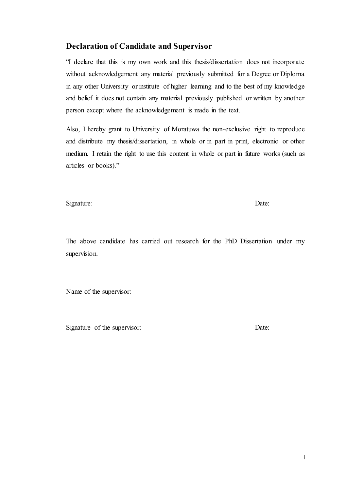### <span id="page-2-0"></span>**Declaration of Candidate and Supervisor**

"I declare that this is my own work and this thesis/dissertation does not incorporate without acknowledgement any material previously submitted for a Degree or Diploma in any other University or institute of higher learning and to the best of my knowledge and belief it does not contain any material previously published or written by another person except where the acknowledgement is made in the text.

Also, I hereby grant to University of Moratuwa the non-exclusive right to reproduce and distribute my thesis/dissertation, in whole or in part in print, electronic or other medium. I retain the right to use this content in whole or part in future works (such as articles or books)."

Signature: Date: Date:

The above candidate has carried out research for the PhD Dissertation under my supervision.

Name of the supervisor:

Signature of the supervisor: Date: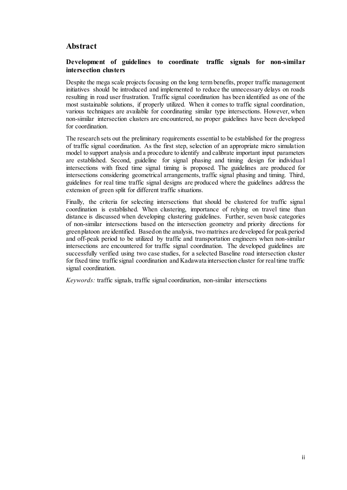## <span id="page-3-0"></span>**Abstract**

#### **Development of guidelines to coordinate traffic signals for non-similar intersection clusters**

Despite the mega scale projects focusing on the long term benefits, proper traffic management initiatives should be introduced and implemented to reduce the unnecessary delays on roads resulting in road user frustration. Traffic signal coordination has been identified as one of the most sustainable solutions, if properly utilized. When it comes to traffic signal coordination, various techniques are available for coordinating similar type intersections. However, when non-similar intersection clusters are encountered, no proper guidelines have been developed for coordination.

The research sets out the preliminary requirements essential to be established for the progress of traffic signal coordination. As the first step, selection of an appropriate micro simulation model to support analysis and a procedure to identify and calibrate important input parameters are established. Second, guideline for signal phasing and timing design for individua l intersections with fixed time signal timing is proposed. The guidelines are produced for intersections considering geometrical arrangements, traffic signal phasing and timing. Third, guidelines for real time traffic signal designs are produced where the guidelines address the extension of green split for different traffic situations.

Finally, the criteria for selecting intersections that should be clustered for traffic signal coordination is established. When clustering, importance of relying on travel time than distance is discussed when developing clustering guidelines. Further, seven basic categories of non-similar intersections based on the intersection geometry and priority directions for green platoon are identified. Based on the analysis, two matrixes are developed for peak period and off-peak period to be utilized by traffic and transportation engineers when non-similar intersections are encountered for traffic signal coordination. The developed guidelines are successfully verified using two case studies, for a selected Baseline road intersection cluster for fixed time traffic signal coordination and Kadawata intersection cluster for real time traffic signal coordination.

*Keywords:* traffic signals, traffic signal coordination, non-similar intersections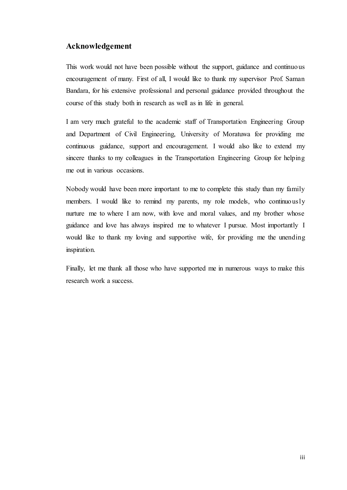### <span id="page-4-0"></span>**Acknowledgement**

This work would not have been possible without the support, guidance and continuous encouragement of many. First of all, I would like to thank my supervisor Prof. Saman Bandara, for his extensive professional and personal guidance provided throughout the course of this study both in research as well as in life in general.

I am very much grateful to the academic staff of Transportation Engineering Group and Department of Civil Engineering, University of Moratuwa for providing me continuous guidance, support and encouragement. I would also like to extend my sincere thanks to my colleagues in the Transportation Engineering Group for helping me out in various occasions.

Nobody would have been more important to me to complete this study than my family members. I would like to remind my parents, my role models, who continuously nurture me to where I am now, with love and moral values, and my brother whose guidance and love has always inspired me to whatever I pursue. Most importantly I would like to thank my loving and supportive wife, for providing me the unending inspiration.

Finally, let me thank all those who have supported me in numerous ways to make this research work a success.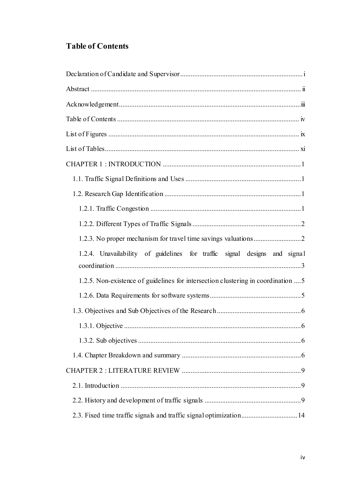## <span id="page-5-0"></span>**Table of Contents**

| 1.2.4. Unavailability of guidelines for traffic signal designs and signal         |
|-----------------------------------------------------------------------------------|
| 1.2.5. Non-existence of guidelines for intersection clustering in coordination  5 |
|                                                                                   |
|                                                                                   |
|                                                                                   |
|                                                                                   |
|                                                                                   |
|                                                                                   |
|                                                                                   |
|                                                                                   |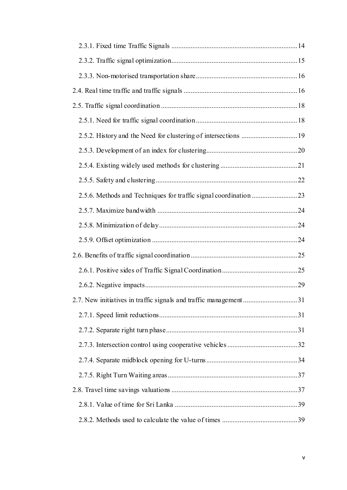| 2.7. New initiatives in traffic signals and traffic management 31 |  |
|-------------------------------------------------------------------|--|
|                                                                   |  |
|                                                                   |  |
|                                                                   |  |
|                                                                   |  |
|                                                                   |  |
|                                                                   |  |
|                                                                   |  |
|                                                                   |  |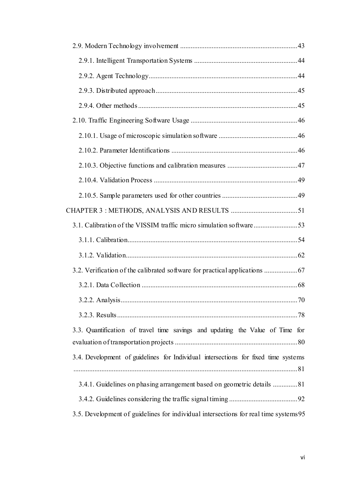| 70                                                                                   |  |
|--------------------------------------------------------------------------------------|--|
|                                                                                      |  |
| 3.3. Quantification of travel time savings and updating the Value of Time for        |  |
|                                                                                      |  |
| 3.4. Development of guidelines for Individual intersections for fixed time systems   |  |
|                                                                                      |  |
| 3.4.1. Guidelines on phasing arrangement based on geometric details 81               |  |
|                                                                                      |  |
| 3.5. Development of guidelines for individual intersections for real time systems 95 |  |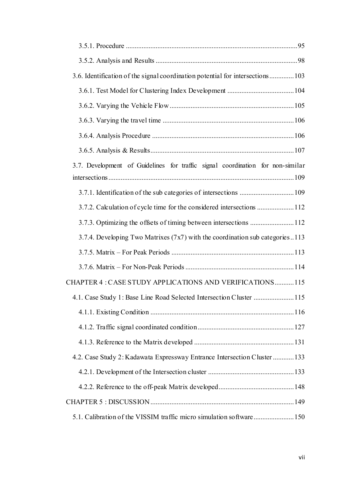| 3.7. Development of Guidelines for traffic signal coordination for non-similar |
|--------------------------------------------------------------------------------|
|                                                                                |
| 3.7.2. Calculation of cycle time for the considered intersections  112         |
| 3.7.3. Optimizing the offsets of timing between intersections 112              |
| 3.7.4. Developing Two Matrixes (7x7) with the coordination sub categories113   |
|                                                                                |
|                                                                                |
| CHAPTER 4 : CASE STUDY APPLICATIONS AND VERIFICATIONS115                       |
| 4.1. Case Study 1: Base Line Road Selected Intersection Cluster 115            |
|                                                                                |
|                                                                                |
|                                                                                |
| 4.2. Case Study 2: Kadawata Expressway Entrance Intersection Cluster  133      |
|                                                                                |
|                                                                                |
|                                                                                |
|                                                                                |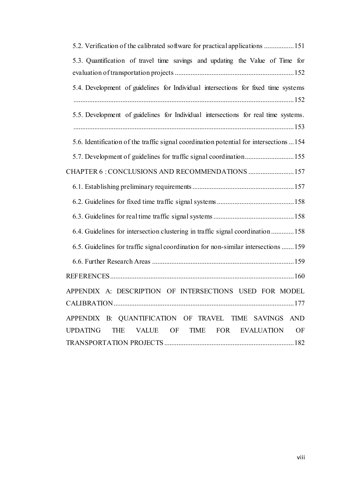| 5.3. Quantification of travel time savings and updating the Value of Time for              |
|--------------------------------------------------------------------------------------------|
|                                                                                            |
| 5.4. Development of guidelines for Individual intersections for fixed time systems         |
|                                                                                            |
| 5.5. Development of guidelines for Individual intersections for real time systems.         |
|                                                                                            |
| 5.6. Identification of the traffic signal coordination potential for intersections 154     |
| 5.7. Development of guidelines for traffic signal coordination 155                         |
| CHAPTER 6 : CONCLUSIONS AND RECOMMENDATIONS  157                                           |
|                                                                                            |
|                                                                                            |
|                                                                                            |
| 6.4. Guidelines for intersection clustering in traffic signal coordination158              |
| 6.5. Guidelines for traffic signal coordination for non-similar intersections  159         |
|                                                                                            |
|                                                                                            |
| APPENDIX A: DESCRIPTION OF INTERSECTIONS USED FOR MODEL                                    |
|                                                                                            |
| APPENDIX B: QUANTIFICATION OF TRAVEL TIME SAVINGS AND                                      |
| <b>UPDATING</b><br><b>THE</b><br><b>VALUE</b><br>OF<br>TIME FOR<br><b>EVALUATION</b><br>OF |
|                                                                                            |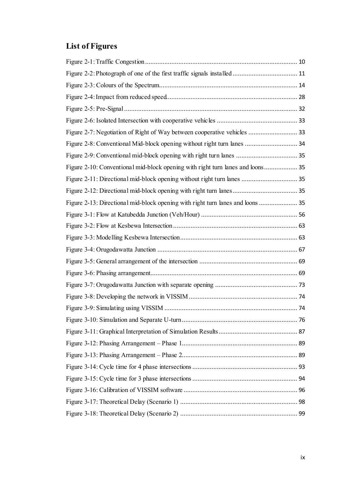# <span id="page-10-0"></span>**List of Figures**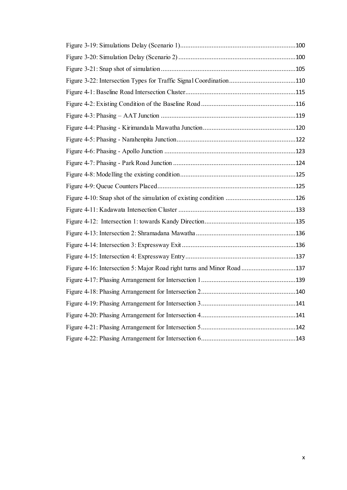| Figure 4-16: Intersection 5: Major Road right turns and Minor Road 137 |  |
|------------------------------------------------------------------------|--|
|                                                                        |  |
|                                                                        |  |
|                                                                        |  |
|                                                                        |  |
|                                                                        |  |
|                                                                        |  |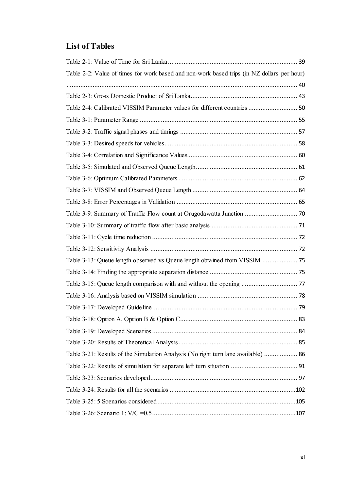## <span id="page-12-0"></span>**List of Tables**

| Table 2-2: Value of times for work based and non-work based trips (in NZ dollars per hour) |  |
|--------------------------------------------------------------------------------------------|--|
|                                                                                            |  |
|                                                                                            |  |
| Table 2-4: Calibrated VISSIM Parameter values for different countries  50                  |  |
|                                                                                            |  |
|                                                                                            |  |
|                                                                                            |  |
|                                                                                            |  |
|                                                                                            |  |
|                                                                                            |  |
|                                                                                            |  |
|                                                                                            |  |
|                                                                                            |  |
|                                                                                            |  |
|                                                                                            |  |
|                                                                                            |  |
|                                                                                            |  |
|                                                                                            |  |
|                                                                                            |  |
|                                                                                            |  |
|                                                                                            |  |
|                                                                                            |  |
|                                                                                            |  |
|                                                                                            |  |
| Table 3-21: Results of the Simulation Analysis (No right turn lane available)  86          |  |
|                                                                                            |  |
|                                                                                            |  |
|                                                                                            |  |
|                                                                                            |  |
|                                                                                            |  |